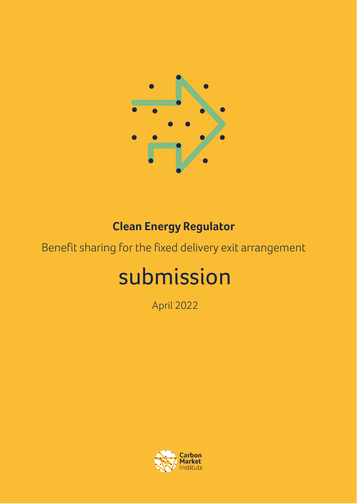

## **Clean Energy Regulator**

## Benefit sharing for the fixed delivery exit arrangement

# submission

April 2022

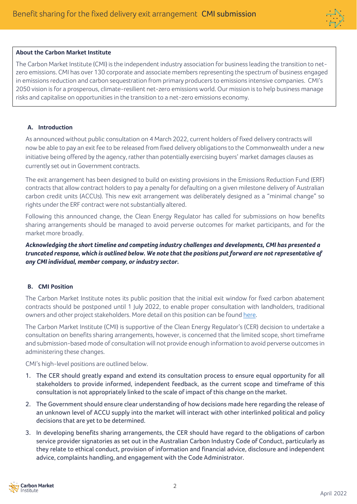

#### **About the Carbon Market Institute**

The Carbon Market Institute (CMI) is the independent industry association for business leading the transition to netzero emissions. CMI has over 130 corporate and associate members representing the spectrum of business engaged in emissions reduction and carbon sequestration from primary producers to emissions intensive companies. CMI's 2050 vision is for a prosperous, climate-resilient net-zero emissions world. Our mission is to help business manage risks and capitalise on opportunities in the transition to a net-zero emissions economy.

#### **A. Introduction**

As announced without public consultation on 4 March 2022, current holders of fixed delivery contracts will now be able to pay an exit fee to be released from fixed delivery obligations to the Commonwealth under [a new](http://www.cleanenergyregulator.gov.au/About/Pages/News%20and%20updates/NewsItem.aspx?ListId=19b4efbb-6f5d-4637-94c4-121c1f96fcfe&ItemId=1067)  [initiative](http://www.cleanenergyregulator.gov.au/About/Pages/News%20and%20updates/NewsItem.aspx?ListId=19b4efbb-6f5d-4637-94c4-121c1f96fcfe&ItemId=1067) being offered by the agency, rather than potentially exercising buyers' market damages clauses as currently set out in Government contracts.

The exit arrangement has been designed to build on existing provisions in the Emissions Reduction Fund (ERF) contracts that allow contract holders to pay a penalty for defaulting on a given milestone delivery of Australian carbon credit units (ACCUs). This new exit arrangement was deliberately designed as a "minimal change" so rights under the ERF contract were not substantially altered.

Following this announced change, the Clean Energy Regulator has called for submissions on how benefits sharing arrangements should be managed to avoid perverse outcomes for market participants, and for the market more broadly.

*Acknowledging the short timeline and competing industry challenges and developments, CMI has presented a truncated response, which is outlined below. We note that the positions put forward are not representative of any CMI individual, member company, or industry sector.*

#### **B. CMI Position**

The Carbon Market Institute notes its public position that the initial exit window for fixed carbon abatement contracts should be postponed until 1 July 2022, to enable proper consultation with landholders, traditional owners and other project stakeholders. More detail on this position can be found [here.](https://carbonmarketinstitute.org/2022/03/18/cmi-requests-postponement-of-initial-cac-exit-window/)

The Carbon Market Institute (CMI) is supportive of the Clean Energy Regulator's (CER) decision to undertake a consultation on benefits sharing arrangements, however, is concerned that the limited scope, short timeframe and submission-based mode of consultation will not provide enough information to avoid perverse outcomes in administering these changes.

CMI's high-level positions are outlined below.

- 1. The CER should greatly expand and extend its consultation process to ensure equal opportunity for all stakeholders to provide informed, independent feedback, as the current scope and timeframe of this consultation is not appropriately linked to the scale of impact of this change on the market.
- 2. The Government should ensure clear understanding of how decisions made here regarding the release of an unknown level of ACCU supply into the market will interact with other interlinked political and policy decisions that are yet to be determined.
- 3. In developing benefits sharing arrangements, the CER should have regard to the obligations of carbon service provider signatories as set out in the Australian Carbon Industry Code of Conduct, particularly as they relate to ethical conduct, provision of information and financial advice, disclosure and independent advice, complaints handling, and engagement with the Code Administrator.

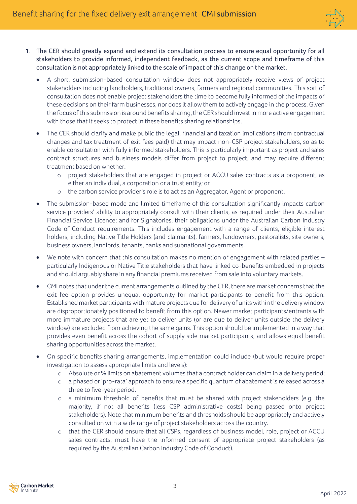

- 1. The CER should greatly expand and extend its consultation process to ensure equal opportunity for all stakeholders to provide informed, independent feedback, as the current scope and timeframe of this consultation is not appropriately linked to the scale of impact of this change on the market.
	- A short, submission-based consultation window does not appropriately receive views of project stakeholders including landholders, traditional owners, farmers and regional communities. This sort of consultation does not enable project stakeholders the time to become fully informed of the impacts of these decisions on their farm businesses, nor does it allow them to actively engage in the process. Given the focus of thissubmission is around benefits sharing, the CER should invest in more active engagement with those that it seeks to protect in these benefits sharing relationships.
	- The CER should clarify and make public the legal, financial and taxation implications (from contractual changes and tax treatment of exit fees paid) that may impact non-CSP project stakeholders, so as to enable consultation with fully informed stakeholders. This is particularly important as project and sales contract structures and business models differ from project to project, and may require different treatment based on whether:
		- o project stakeholders that are engaged in project or ACCU sales contracts as a proponent, as either an individual, a corporation or a trust entity; or
		- o the carbon service provider's role is to act as an Aggregator, Agent or proponent.
	- The submission-based mode and limited timeframe of this consultation significantly impacts carbon service providers' ability to appropriately consult with their clients, as required under their Australian Financial Service Licence; and for Signatories, their obligations under the Australian Carbon Industry Code of Conduct requirements. This includes engagement with a range of clients, eligible interest holders, including Native Title Holders (and claimants), farmers, landowners, pastoralists, site owners, business owners, landlords, tenants, banks and subnational governments.
	- We note with concern that this consultation makes no mention of engagement with related parties particularly Indigenous or Native Title stakeholders that have linked co-benefits embedded in projects and should arguably share in any financial premiums received from sale into voluntary markets.
	- CMI notes that under the current arrangements outlined by the CER, there are market concerns that the exit fee option provides unequal opportunity for market participants to benefit from this option. Established market participants with mature projects due for delivery of units within the delivery window are disproportionately positioned to benefit from this option. Newer market participants/entrants with more immature projects that are yet to deliver units (or are due to deliver units outside the delivery window) are excluded from achieving the same gains. This option should be implemented in a way that provides even benefit across the cohort of supply side market participants, and allows equal benefit sharing opportunities across the market.
	- On specific benefits sharing arrangements, implementation could include (but would require proper investigation to assess appropriate limits and levels):
		- o Absolute or % limits on abatement volumes that a contract holder can claim in a delivery period;
		- o a phased or 'pro-rata' approach to ensure a specific quantum of abatement is released across a three to five-year period.
		- o a minimum threshold of benefits that must be shared with project stakeholders (e.g. the majority, if not all benefits (less CSP administrative costs) being passed onto project stakeholders). Note that minimum benefits and thresholds should be appropriately and actively consulted on with a wide range of project stakeholders across the country.
		- o that the CER should ensure that all CSPs, regardless of business model, role, project or ACCU sales contracts, must have the informed consent of appropriate project stakeholders (as required by the Australian Carbon Industry Code of Conduct).

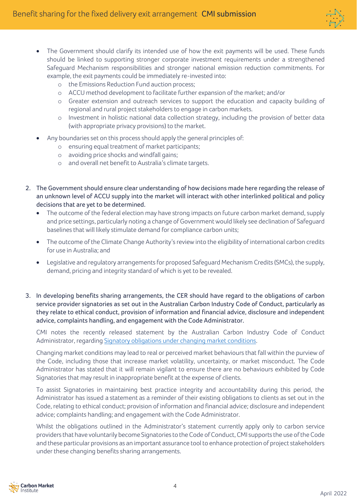

- The Government should clarify its intended use of how the exit payments will be used. These funds should be linked to supporting stronger corporate investment requirements under a strengthened Safeguard Mechanism responsibilities and stronger national emission reduction commitments. For example, the exit payments could be immediately re-invested into:
	- o the Emissions Reduction Fund auction process;
	- o ACCU method development to facilitate further expansion of the market; and/or
	- o Greater extension and outreach services to support the education and capacity building of regional and rural project stakeholders to engage in carbon markets.
	- o Investment in holistic national data collection strategy, including the provision of better data (with appropriate privacy provisions) to the market.
- Any boundaries set on this process should apply the general principles of:
	- o ensuring equal treatment of market participants;
	- o avoiding price shocks and windfall gains;
	- o and overall net benefit to Australia's climate targets.
- 2. The Government should ensure clear understanding of how decisions made here regarding the release of an unknown level of ACCU supply into the market will interact with other interlinked political and policy decisions that are yet to be determined.
	- The outcome of the federal election may have strong impacts on future carbon market demand, supply and price settings, particularly noting a change of Government would likely see declination of Safeguard baselines that will likely stimulate demand for compliance carbon units;
	- The outcome of the Climate Change Authority's review into the eligibility of international carbon credits for use in Australia; and
	- Legislative and regulatory arrangements for proposed Safeguard Mechanism Credits (SMCs), the supply, demand, pricing and integrity standard of which is yet to be revealed.
- 3. In developing benefits sharing arrangements, the CER should have regard to the obligations of carbon service provider signatories as set out in the Australian Carbon Industry Code of Conduct, particularly as they relate to ethical conduct, provision of information and financial advice, disclosure and independent advice, complaints handling, and engagement with the Code Administrator.

CMI notes the recently released statement by the Australian Carbon Industry Code of Conduct Administrator, regarding [Signatory obligations under changing market conditions.](https://carbonmarketinstitute.org/app/uploads/2022/04/Signatory-Obligations-under-Changing-Market-Conditions-Administrator-Statement.pdf)

Changing market conditions may lead to real or perceived market behaviours that fall within the purview of the Code, including those that increase market volatility, uncertainty, or market misconduct. The Code Administrator has stated that it will remain vigilant to ensure there are no behaviours exhibited by Code Signatories that may result in inappropriate benefit at the expense of clients.

To assist Signatories in maintaining best practice integrity and accountability during this period, the Administrator has issued a [statement](https://carbonmarketinstitute.org/app/uploads/2022/04/Signatory-Obligations-under-Changing-Market-Conditions-Administrator-Statement.pdf) as a reminder of their existing obligations to clients as set out in the Code, relating to ethical conduct; provision of information and financial advice; disclosure and independent advice; complaints handling; and engagement with the Code Administrator.

Whilst the obligations outlined in the Administrator's statement currently apply only to carbon service providers that have voluntarily become Signatories to the Code of Conduct, CMIsupports the use of the Code and these particular provisions as an important assurance tool to enhance protection of project stakeholders under these changing benefits sharing arrangements.